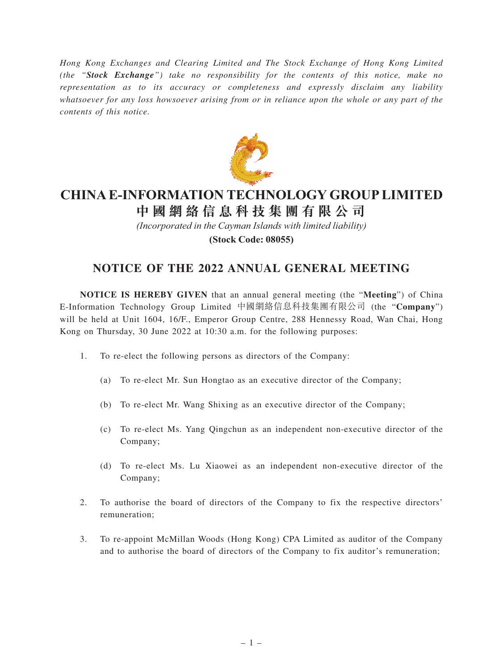*Hong Kong Exchanges and Clearing Limited and The Stock Exchange of Hong Kong Limited (the "Stock Exchange") take no responsibility for the contents of this notice, make no representation as to its accuracy or completeness and expressly disclaim any liability whatsoever for any loss howsoever arising from or in reliance upon the whole or any part of the contents of this notice.*



# **CHINA E-INFORMATION TECHNOLOGY GROUP LIMITED**

**中 國 網 絡 信 息 科 技 集 團 有 限 公 司**

*(Incorporated in the Cayman Islands with limited liability)*

**(Stock Code: 08055)**

## **NOTICE OF THE 2022 ANNUAL GENERAL MEETING**

**NOTICE IS HEREBY GIVEN** that an annual general meeting (the "**Meeting**") of China E-Information Technology Group Limited 中國網絡信息科技集團有限公司 (the "**Company**") will be held at Unit 1604, 16/F., Emperor Group Centre, 288 Hennessy Road, Wan Chai, Hong Kong on Thursday, 30 June 2022 at 10:30 a.m. for the following purposes:

- 1. To re-elect the following persons as directors of the Company:
	- (a) To re-elect Mr. Sun Hongtao as an executive director of the Company;
	- (b) To re-elect Mr. Wang Shixing as an executive director of the Company;
	- (c) To re-elect Ms. Yang Qingchun as an independent non-executive director of the Company;
	- (d) To re-elect Ms. Lu Xiaowei as an independent non-executive director of the Company;
- 2. To authorise the board of directors of the Company to fix the respective directors' remuneration;
- 3. To re-appoint McMillan Woods (Hong Kong) CPA Limited as auditor of the Company and to authorise the board of directors of the Company to fix auditor's remuneration;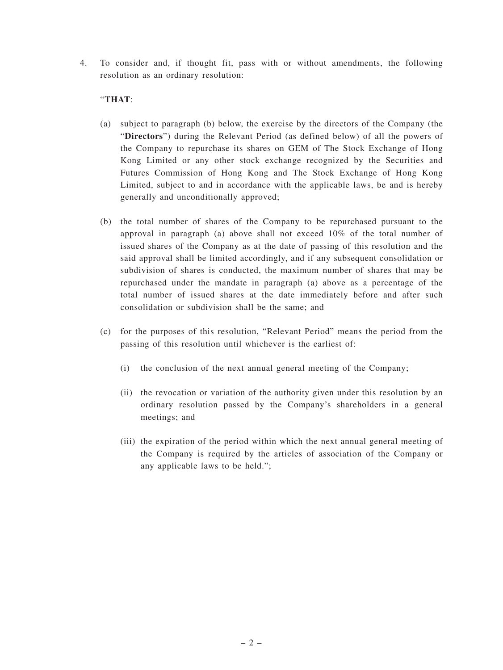4. To consider and, if thought fit, pass with or without amendments, the following resolution as an ordinary resolution:

### "**THAT**:

- (a) subject to paragraph (b) below, the exercise by the directors of the Company (the "**Directors**") during the Relevant Period (as defined below) of all the powers of the Company to repurchase its shares on GEM of The Stock Exchange of Hong Kong Limited or any other stock exchange recognized by the Securities and Futures Commission of Hong Kong and The Stock Exchange of Hong Kong Limited, subject to and in accordance with the applicable laws, be and is hereby generally and unconditionally approved;
- (b) the total number of shares of the Company to be repurchased pursuant to the approval in paragraph (a) above shall not exceed  $10\%$  of the total number of issued shares of the Company as at the date of passing of this resolution and the said approval shall be limited accordingly, and if any subsequent consolidation or subdivision of shares is conducted, the maximum number of shares that may be repurchased under the mandate in paragraph (a) above as a percentage of the total number of issued shares at the date immediately before and after such consolidation or subdivision shall be the same; and
- (c) for the purposes of this resolution, "Relevant Period" means the period from the passing of this resolution until whichever is the earliest of:
	- (i) the conclusion of the next annual general meeting of the Company;
	- (ii) the revocation or variation of the authority given under this resolution by an ordinary resolution passed by the Company's shareholders in a general meetings; and
	- (iii) the expiration of the period within which the next annual general meeting of the Company is required by the articles of association of the Company or any applicable laws to be held.";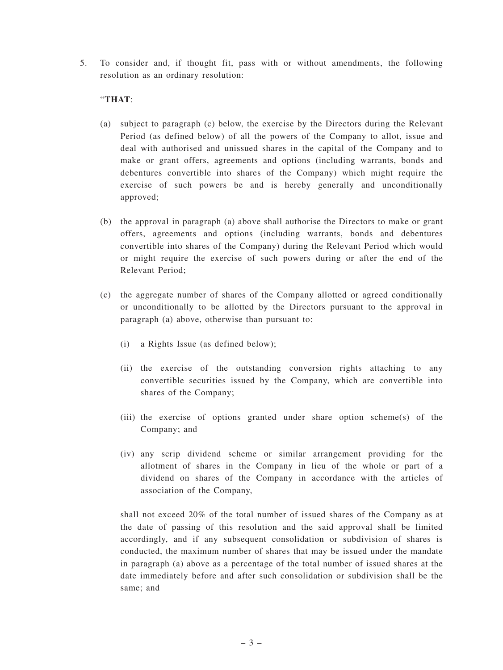5. To consider and, if thought fit, pass with or without amendments, the following resolution as an ordinary resolution:

#### "**THAT**:

- (a) subject to paragraph (c) below, the exercise by the Directors during the Relevant Period (as defined below) of all the powers of the Company to allot, issue and deal with authorised and unissued shares in the capital of the Company and to make or grant offers, agreements and options (including warrants, bonds and debentures convertible into shares of the Company) which might require the exercise of such powers be and is hereby generally and unconditionally approved;
- (b) the approval in paragraph (a) above shall authorise the Directors to make or grant offers, agreements and options (including warrants, bonds and debentures convertible into shares of the Company) during the Relevant Period which would or might require the exercise of such powers during or after the end of the Relevant Period;
- (c) the aggregate number of shares of the Company allotted or agreed conditionally or unconditionally to be allotted by the Directors pursuant to the approval in paragraph (a) above, otherwise than pursuant to:
	- (i) a Rights Issue (as defined below);
	- (ii) the exercise of the outstanding conversion rights attaching to any convertible securities issued by the Company, which are convertible into shares of the Company;
	- (iii) the exercise of options granted under share option scheme(s) of the Company; and
	- (iv) any scrip dividend scheme or similar arrangement providing for the allotment of shares in the Company in lieu of the whole or part of a dividend on shares of the Company in accordance with the articles of association of the Company,

shall not exceed 20% of the total number of issued shares of the Company as at the date of passing of this resolution and the said approval shall be limited accordingly, and if any subsequent consolidation or subdivision of shares is conducted, the maximum number of shares that may be issued under the mandate in paragraph (a) above as a percentage of the total number of issued shares at the date immediately before and after such consolidation or subdivision shall be the same; and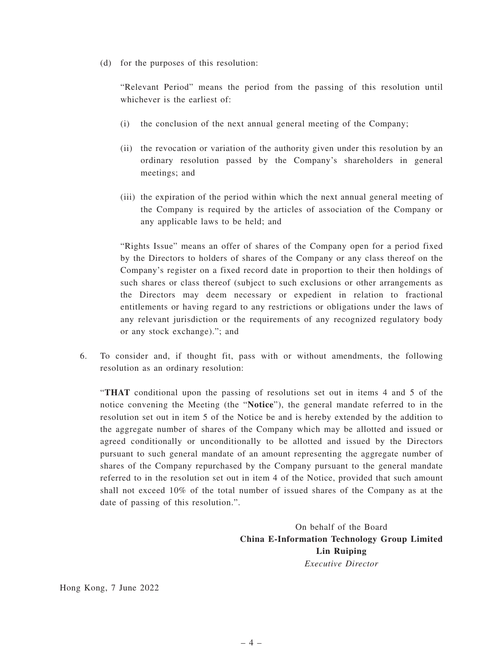(d) for the purposes of this resolution:

"Relevant Period" means the period from the passing of this resolution until whichever is the earliest of:

- (i) the conclusion of the next annual general meeting of the Company;
- (ii) the revocation or variation of the authority given under this resolution by an ordinary resolution passed by the Company's shareholders in general meetings; and
- (iii) the expiration of the period within which the next annual general meeting of the Company is required by the articles of association of the Company or any applicable laws to be held; and

"Rights Issue" means an offer of shares of the Company open for a period fixed by the Directors to holders of shares of the Company or any class thereof on the Company's register on a fixed record date in proportion to their then holdings of such shares or class thereof (subject to such exclusions or other arrangements as the Directors may deem necessary or expedient in relation to fractional entitlements or having regard to any restrictions or obligations under the laws of any relevant jurisdiction or the requirements of any recognized regulatory body or any stock exchange)."; and

6. To consider and, if thought fit, pass with or without amendments, the following resolution as an ordinary resolution:

"**THAT** conditional upon the passing of resolutions set out in items 4 and 5 of the notice convening the Meeting (the "**Notice**"), the general mandate referred to in the resolution set out in item 5 of the Notice be and is hereby extended by the addition to the aggregate number of shares of the Company which may be allotted and issued or agreed conditionally or unconditionally to be allotted and issued by the Directors pursuant to such general mandate of an amount representing the aggregate number of shares of the Company repurchased by the Company pursuant to the general mandate referred to in the resolution set out in item 4 of the Notice, provided that such amount shall not exceed 10% of the total number of issued shares of the Company as at the date of passing of this resolution.".

> On behalf of the Board **China E-Information Technology Group Limited Lin Ruiping** *Executive Director*

Hong Kong, 7 June 2022